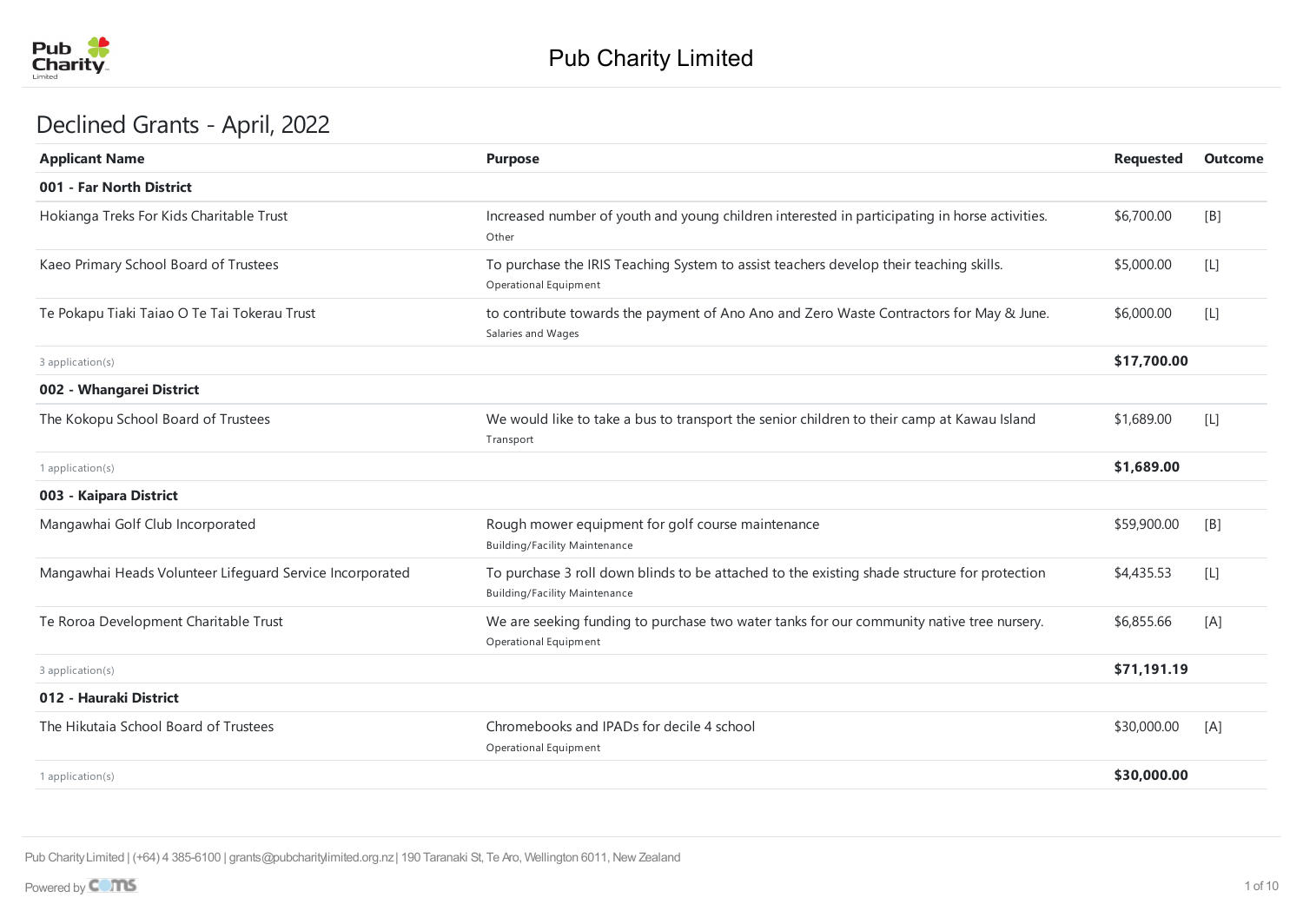

## Declined Grants - April, 2022

| <b>Purpose</b>                                                                                                                       | <b>Requested</b> | Outcome |
|--------------------------------------------------------------------------------------------------------------------------------------|------------------|---------|
|                                                                                                                                      |                  |         |
| Increased number of youth and young children interested in participating in horse activities.<br>Other                               | \$6,700.00       | [B]     |
| To purchase the IRIS Teaching System to assist teachers develop their teaching skills.<br>Operational Equipment                      | \$5,000.00       | $[L]$   |
| to contribute towards the payment of Ano Ano and Zero Waste Contractors for May & June.<br>Salaries and Wages                        | \$6,000.00       | $[L]$   |
|                                                                                                                                      | \$17,700.00      |         |
|                                                                                                                                      |                  |         |
| We would like to take a bus to transport the senior children to their camp at Kawau Island<br>Transport                              | \$1,689.00       | $[L]$   |
|                                                                                                                                      | \$1,689.00       |         |
|                                                                                                                                      |                  |         |
| Rough mower equipment for golf course maintenance<br><b>Building/Facility Maintenance</b>                                            | \$59,900.00      | [B]     |
| To purchase 3 roll down blinds to be attached to the existing shade structure for protection<br><b>Building/Facility Maintenance</b> | \$4,435.53       | $[L]$   |
| We are seeking funding to purchase two water tanks for our community native tree nursery.<br>Operational Equipment                   | \$6,855.66       | [A]     |
|                                                                                                                                      | \$71,191.19      |         |
|                                                                                                                                      |                  |         |
| Chromebooks and IPADs for decile 4 school<br>Operational Equipment                                                                   | \$30,000.00      | [A]     |
|                                                                                                                                      | \$30,000.00      |         |
|                                                                                                                                      |                  |         |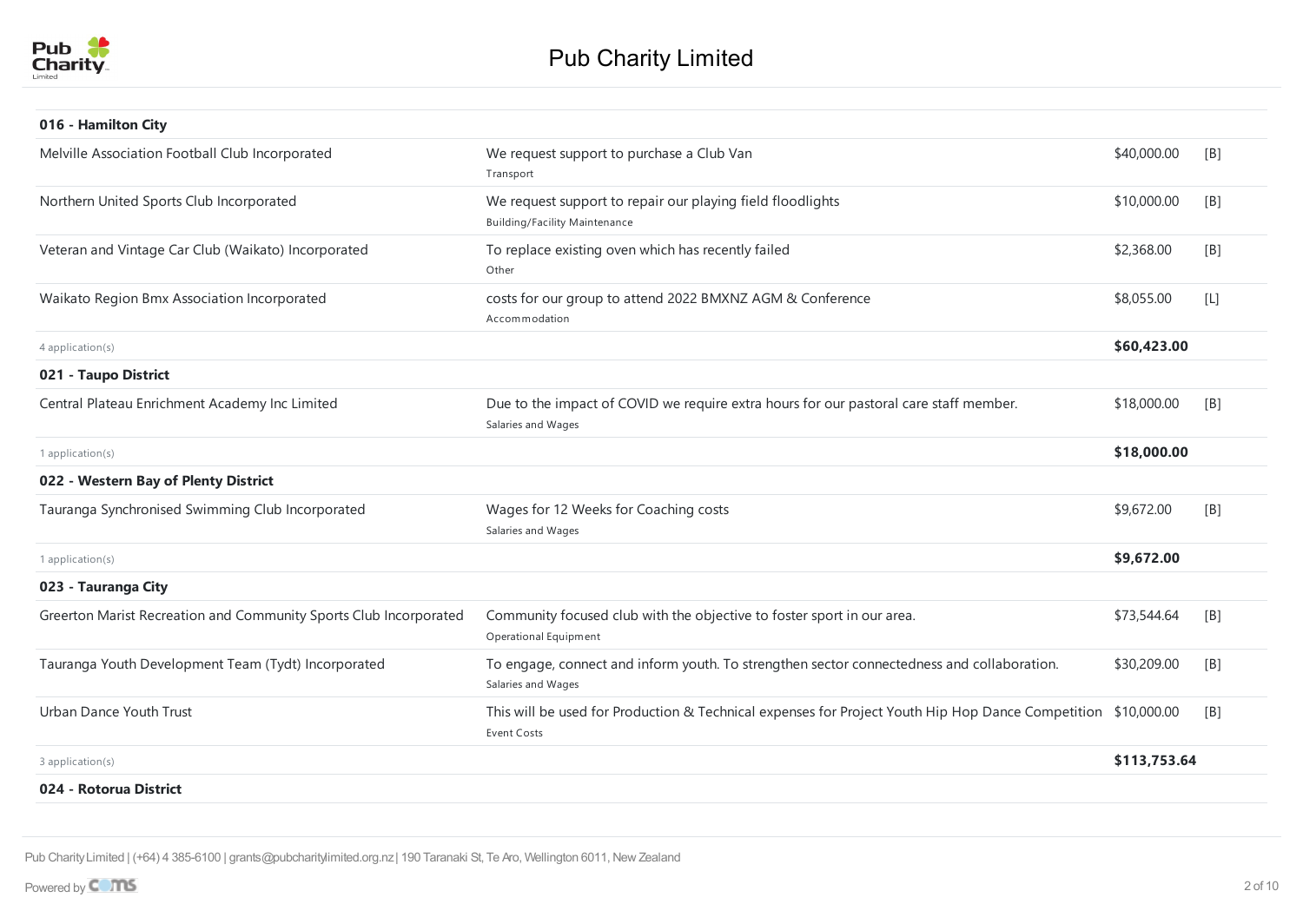

| 016 - Hamilton City                                               |                                                                                                                                     |              |                  |
|-------------------------------------------------------------------|-------------------------------------------------------------------------------------------------------------------------------------|--------------|------------------|
| Melville Association Football Club Incorporated                   | We request support to purchase a Club Van<br>Transport                                                                              | \$40,000.00  | [B]              |
| Northern United Sports Club Incorporated                          | We request support to repair our playing field floodlights<br><b>Building/Facility Maintenance</b>                                  | \$10,000.00  | [ <sub>B</sub> ] |
| Veteran and Vintage Car Club (Waikato) Incorporated               | To replace existing oven which has recently failed<br>Other                                                                         | \$2,368.00   | [B]              |
| Waikato Region Bmx Association Incorporated                       | costs for our group to attend 2022 BMXNZ AGM & Conference<br>Accommodation                                                          | \$8,055.00   | $[{\mathsf L}]$  |
| 4 application(s)                                                  |                                                                                                                                     | \$60,423.00  |                  |
| 021 - Taupo District                                              |                                                                                                                                     |              |                  |
| Central Plateau Enrichment Academy Inc Limited                    | Due to the impact of COVID we require extra hours for our pastoral care staff member.<br>Salaries and Wages                         | \$18,000.00  | [B]              |
| $1$ application(s)                                                |                                                                                                                                     | \$18,000.00  |                  |
| 022 - Western Bay of Plenty District                              |                                                                                                                                     |              |                  |
| Tauranga Synchronised Swimming Club Incorporated                  | Wages for 12 Weeks for Coaching costs<br>Salaries and Wages                                                                         | \$9,672.00   | [B]              |
| 1 application(s)                                                  |                                                                                                                                     | \$9,672.00   |                  |
| 023 - Tauranga City                                               |                                                                                                                                     |              |                  |
| Greerton Marist Recreation and Community Sports Club Incorporated | Community focused club with the objective to foster sport in our area.<br>Operational Equipment                                     | \$73,544.64  | [B]              |
| Tauranga Youth Development Team (Tydt) Incorporated               | To engage, connect and inform youth. To strengthen sector connectedness and collaboration.<br>Salaries and Wages                    | \$30,209.00  | [B]              |
| Urban Dance Youth Trust                                           | This will be used for Production & Technical expenses for Project Youth Hip Hop Dance Competition \$10,000.00<br><b>Event Costs</b> |              | [B]              |
| 3 application(s)                                                  |                                                                                                                                     | \$113,753.64 |                  |
| 024 - Rotorua District                                            |                                                                                                                                     |              |                  |
|                                                                   |                                                                                                                                     |              |                  |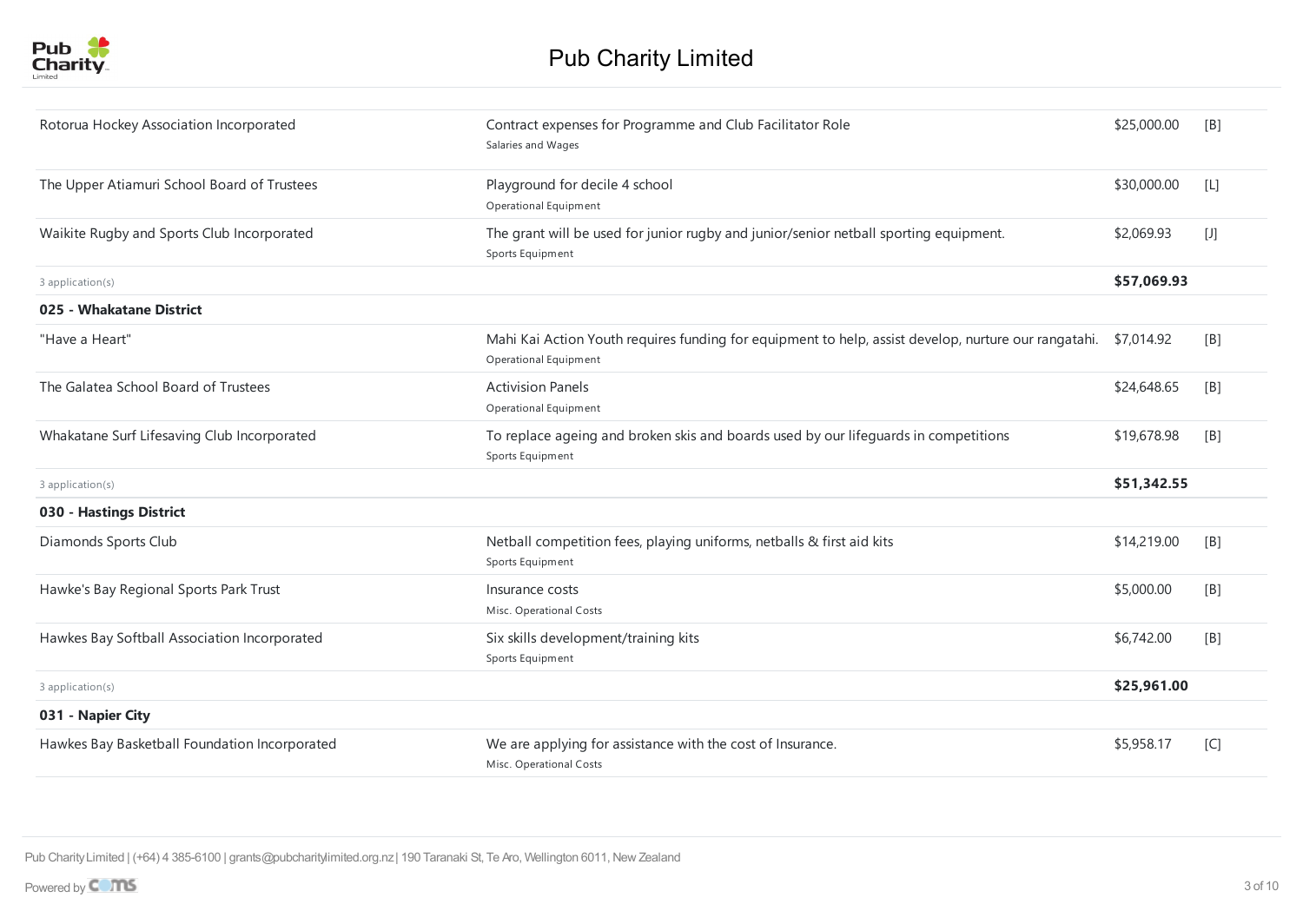

| Rotorua Hockey Association Incorporated       | Contract expenses for Programme and Club Facilitator Role<br>Salaries and Wages                                                          | \$25,000.00 | [B]   |
|-----------------------------------------------|------------------------------------------------------------------------------------------------------------------------------------------|-------------|-------|
| The Upper Atiamuri School Board of Trustees   | Playground for decile 4 school<br>Operational Equipment                                                                                  | \$30,000.00 | [L]   |
| Waikite Rugby and Sports Club Incorporated    | The grant will be used for junior rugby and junior/senior netball sporting equipment.<br>Sports Equipment                                | \$2,069.93  | $[1]$ |
| 3 application(s)                              |                                                                                                                                          | \$57,069.93 |       |
| 025 - Whakatane District                      |                                                                                                                                          |             |       |
| "Have a Heart"                                | Mahi Kai Action Youth requires funding for equipment to help, assist develop, nurture our rangatahi. \$7,014.92<br>Operational Equipment |             | [B]   |
| The Galatea School Board of Trustees          | <b>Activision Panels</b><br>Operational Equipment                                                                                        | \$24,648.65 | [B]   |
| Whakatane Surf Lifesaving Club Incorporated   | To replace ageing and broken skis and boards used by our lifeguards in competitions<br>Sports Equipment                                  | \$19,678.98 | [B]   |
| 3 application(s)                              |                                                                                                                                          | \$51,342.55 |       |
| 030 - Hastings District                       |                                                                                                                                          |             |       |
| Diamonds Sports Club                          | Netball competition fees, playing uniforms, netballs & first aid kits<br>Sports Equipment                                                | \$14,219.00 | [B]   |
| Hawke's Bay Regional Sports Park Trust        | Insurance costs<br>Misc. Operational Costs                                                                                               | \$5,000.00  | [B]   |
| Hawkes Bay Softball Association Incorporated  | Six skills development/training kits<br>Sports Equipment                                                                                 | \$6,742.00  | [B]   |
| 3 application(s)                              |                                                                                                                                          | \$25,961.00 |       |
| 031 - Napier City                             |                                                                                                                                          |             |       |
| Hawkes Bay Basketball Foundation Incorporated | We are applying for assistance with the cost of Insurance.<br>Misc. Operational Costs                                                    | \$5,958.17  | [C]   |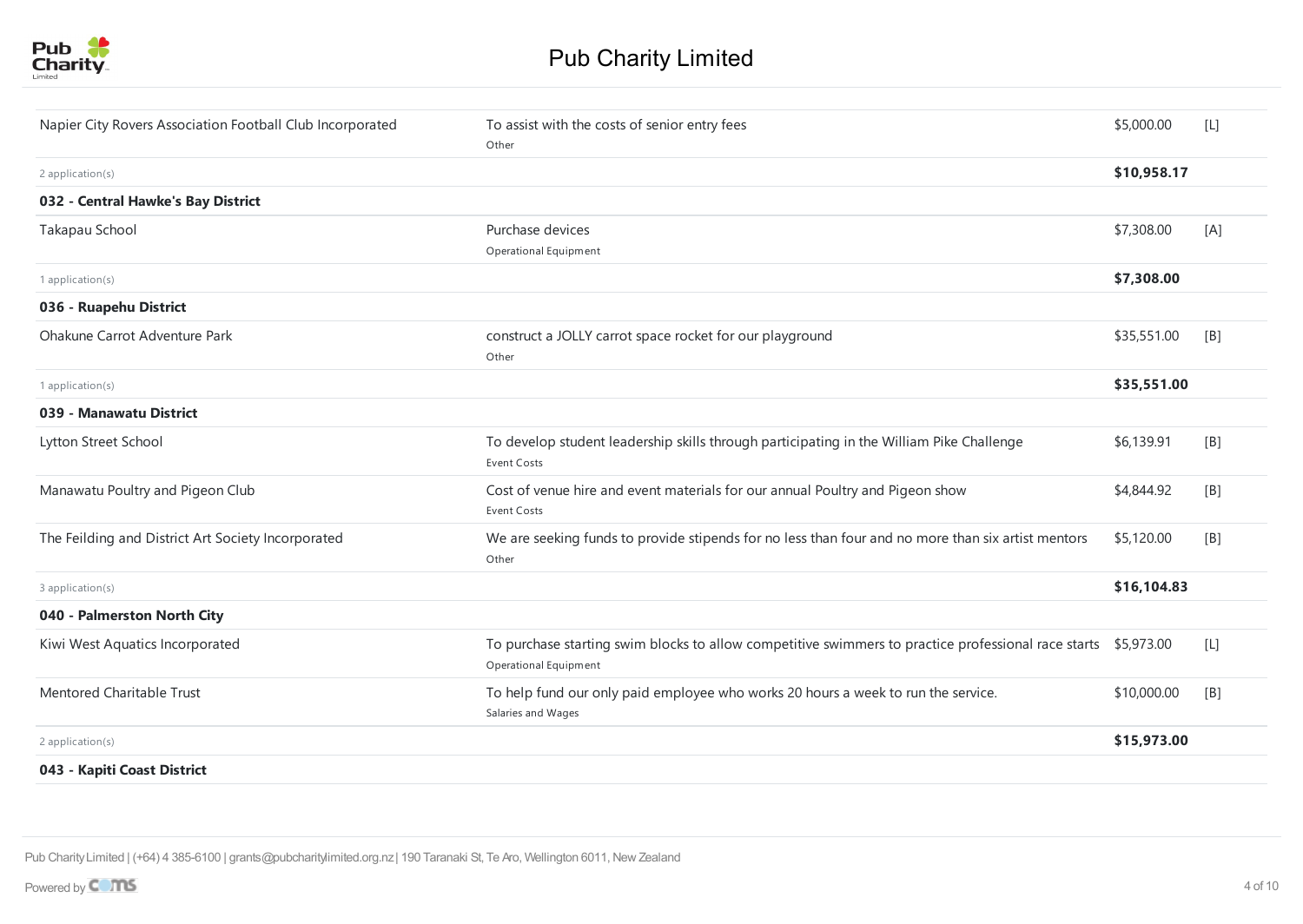

| Napier City Rovers Association Football Club Incorporated | To assist with the costs of senior entry fees                                                                                           | \$5,000.00  | [L] |
|-----------------------------------------------------------|-----------------------------------------------------------------------------------------------------------------------------------------|-------------|-----|
|                                                           | Other                                                                                                                                   |             |     |
| 2 application(s)                                          |                                                                                                                                         | \$10,958.17 |     |
| 032 - Central Hawke's Bay District                        |                                                                                                                                         |             |     |
| Takapau School                                            | Purchase devices                                                                                                                        | \$7,308.00  | [A] |
|                                                           | Operational Equipment                                                                                                                   |             |     |
| 1 application(s)                                          |                                                                                                                                         | \$7,308.00  |     |
| 036 - Ruapehu District                                    |                                                                                                                                         |             |     |
| Ohakune Carrot Adventure Park                             | construct a JOLLY carrot space rocket for our playground                                                                                | \$35,551.00 | [B] |
|                                                           | Other                                                                                                                                   |             |     |
| 1 application(s)                                          |                                                                                                                                         | \$35,551.00 |     |
| 039 - Manawatu District                                   |                                                                                                                                         |             |     |
| Lytton Street School                                      | To develop student leadership skills through participating in the William Pike Challenge<br>Event Costs                                 | \$6,139.91  | [B] |
| Manawatu Poultry and Pigeon Club                          | Cost of venue hire and event materials for our annual Poultry and Pigeon show<br><b>Event Costs</b>                                     | \$4,844.92  | [B] |
| The Feilding and District Art Society Incorporated        | We are seeking funds to provide stipends for no less than four and no more than six artist mentors<br>Other                             | \$5,120.00  | [B] |
| 3 application(s)                                          |                                                                                                                                         | \$16,104.83 |     |
| 040 - Palmerston North City                               |                                                                                                                                         |             |     |
| Kiwi West Aquatics Incorporated                           | To purchase starting swim blocks to allow competitive swimmers to practice professional race starts \$5,973.00<br>Operational Equipment |             | [L] |
| Mentored Charitable Trust                                 | To help fund our only paid employee who works 20 hours a week to run the service.<br>Salaries and Wages                                 | \$10,000.00 | [B] |
| 2 application(s)                                          |                                                                                                                                         | \$15,973.00 |     |
| 043 - Kapiti Coast District                               |                                                                                                                                         |             |     |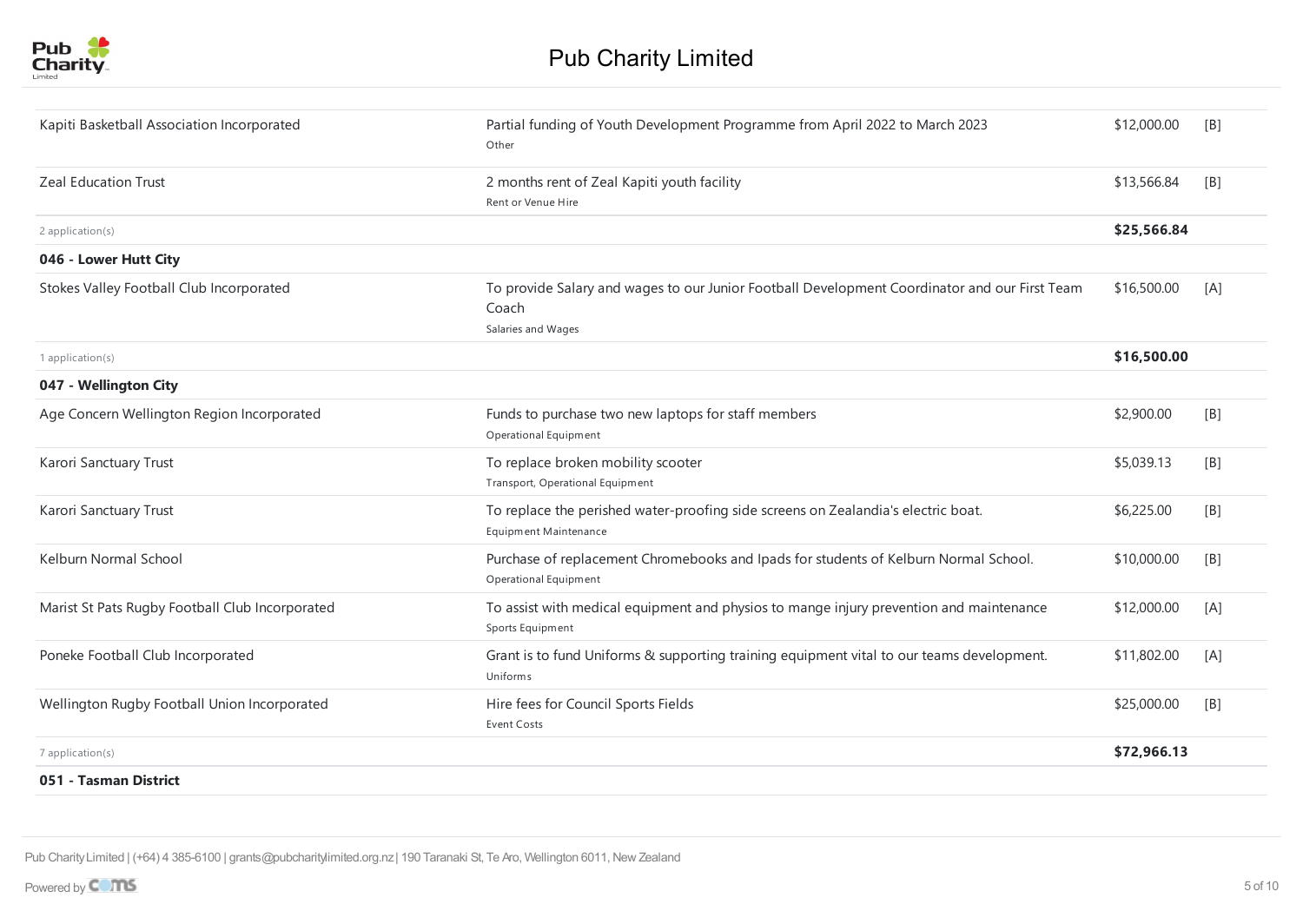

| Kapiti Basketball Association Incorporated      | Partial funding of Youth Development Programme from April 2022 to March 2023<br>Other                                        | \$12,000.00 | [B] |
|-------------------------------------------------|------------------------------------------------------------------------------------------------------------------------------|-------------|-----|
| <b>Zeal Education Trust</b>                     | 2 months rent of Zeal Kapiti youth facility<br>Rent or Venue Hire                                                            | \$13,566.84 | [B] |
| 2 application(s)                                |                                                                                                                              | \$25,566.84 |     |
| 046 - Lower Hutt City                           |                                                                                                                              |             |     |
| Stokes Valley Football Club Incorporated        | To provide Salary and wages to our Junior Football Development Coordinator and our First Team<br>Coach<br>Salaries and Wages | \$16,500.00 | [A] |
| 1 application(s)                                |                                                                                                                              | \$16,500.00 |     |
| 047 - Wellington City                           |                                                                                                                              |             |     |
| Age Concern Wellington Region Incorporated      | Funds to purchase two new laptops for staff members<br><b>Operational Equipment</b>                                          | \$2,900.00  | [B] |
| Karori Sanctuary Trust                          | To replace broken mobility scooter<br>Transport, Operational Equipment                                                       | \$5,039.13  | [B] |
| Karori Sanctuary Trust                          | To replace the perished water-proofing side screens on Zealandia's electric boat.<br>Equipment Maintenance                   | \$6,225.00  | [B] |
| Kelburn Normal School                           | Purchase of replacement Chromebooks and Ipads for students of Kelburn Normal School.<br>Operational Equipment                | \$10,000.00 | [B] |
| Marist St Pats Rugby Football Club Incorporated | To assist with medical equipment and physios to mange injury prevention and maintenance<br>Sports Equipment                  | \$12,000.00 | [A] |
| Poneke Football Club Incorporated               | Grant is to fund Uniforms & supporting training equipment vital to our teams development.<br>Uniforms                        | \$11,802.00 | [A] |
| Wellington Rugby Football Union Incorporated    | Hire fees for Council Sports Fields<br><b>Event Costs</b>                                                                    | \$25,000.00 | [B] |
| $7$ application(s)                              |                                                                                                                              | \$72,966.13 |     |
| 051 - Tasman District                           |                                                                                                                              |             |     |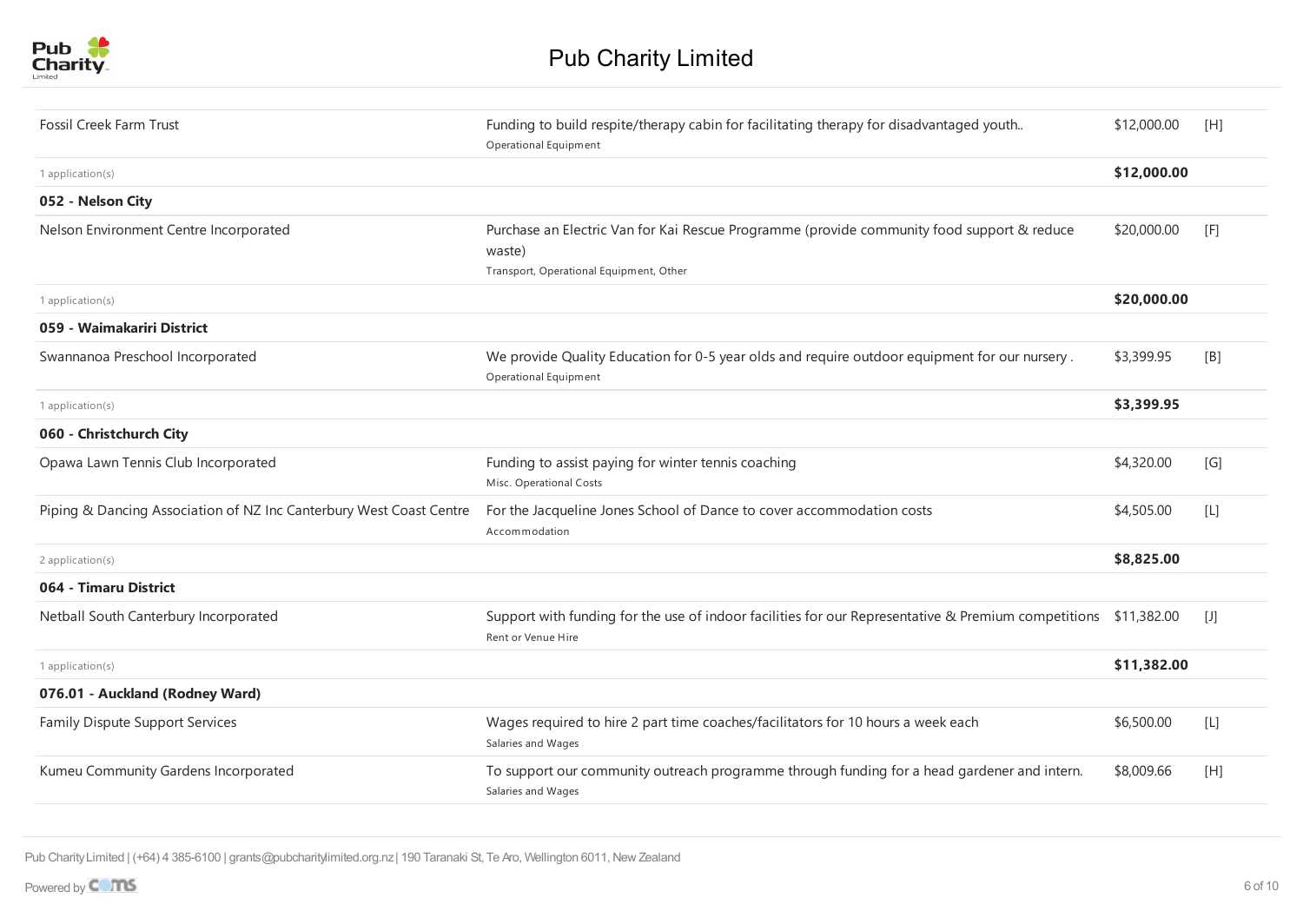

| <b>Fossil Creek Farm Trust</b>                                      | Funding to build respite/therapy cabin for facilitating therapy for disadvantaged youth<br>Operational Equipment                                | \$12,000.00 | [H]   |
|---------------------------------------------------------------------|-------------------------------------------------------------------------------------------------------------------------------------------------|-------------|-------|
| 1 application(s)                                                    |                                                                                                                                                 | \$12,000.00 |       |
| 052 - Nelson City                                                   |                                                                                                                                                 |             |       |
| Nelson Environment Centre Incorporated                              | Purchase an Electric Van for Kai Rescue Programme (provide community food support & reduce<br>waste)<br>Transport, Operational Equipment, Other | \$20,000.00 | [F]   |
| 1 application(s)                                                    |                                                                                                                                                 | \$20,000.00 |       |
| 059 - Waimakariri District                                          |                                                                                                                                                 |             |       |
| Swannanoa Preschool Incorporated                                    | We provide Quality Education for 0-5 year olds and require outdoor equipment for our nursery.<br>Operational Equipment                          | \$3,399.95  | [B]   |
| 1 application(s)                                                    |                                                                                                                                                 | \$3,399.95  |       |
| 060 - Christchurch City                                             |                                                                                                                                                 |             |       |
| Opawa Lawn Tennis Club Incorporated                                 | Funding to assist paying for winter tennis coaching<br>Misc. Operational Costs                                                                  | \$4,320.00  | [G]   |
| Piping & Dancing Association of NZ Inc Canterbury West Coast Centre | For the Jacqueline Jones School of Dance to cover accommodation costs<br>Accommodation                                                          | \$4,505.00  | $[1]$ |
| 2 application(s)                                                    |                                                                                                                                                 | \$8,825.00  |       |
| 064 - Timaru District                                               |                                                                                                                                                 |             |       |
| Netball South Canterbury Incorporated                               | Support with funding for the use of indoor facilities for our Representative & Premium competitions \$11,382.00<br>Rent or Venue Hire           |             | $[1]$ |
| 1 application(s)                                                    |                                                                                                                                                 | \$11,382.00 |       |
| 076.01 - Auckland (Rodney Ward)                                     |                                                                                                                                                 |             |       |
| Family Dispute Support Services                                     | Wages required to hire 2 part time coaches/facilitators for 10 hours a week each<br>Salaries and Wages                                          | \$6,500.00  | $[1]$ |
| Kumeu Community Gardens Incorporated                                | To support our community outreach programme through funding for a head gardener and intern.<br>Salaries and Wages                               | \$8,009.66  | [H]   |
|                                                                     |                                                                                                                                                 |             |       |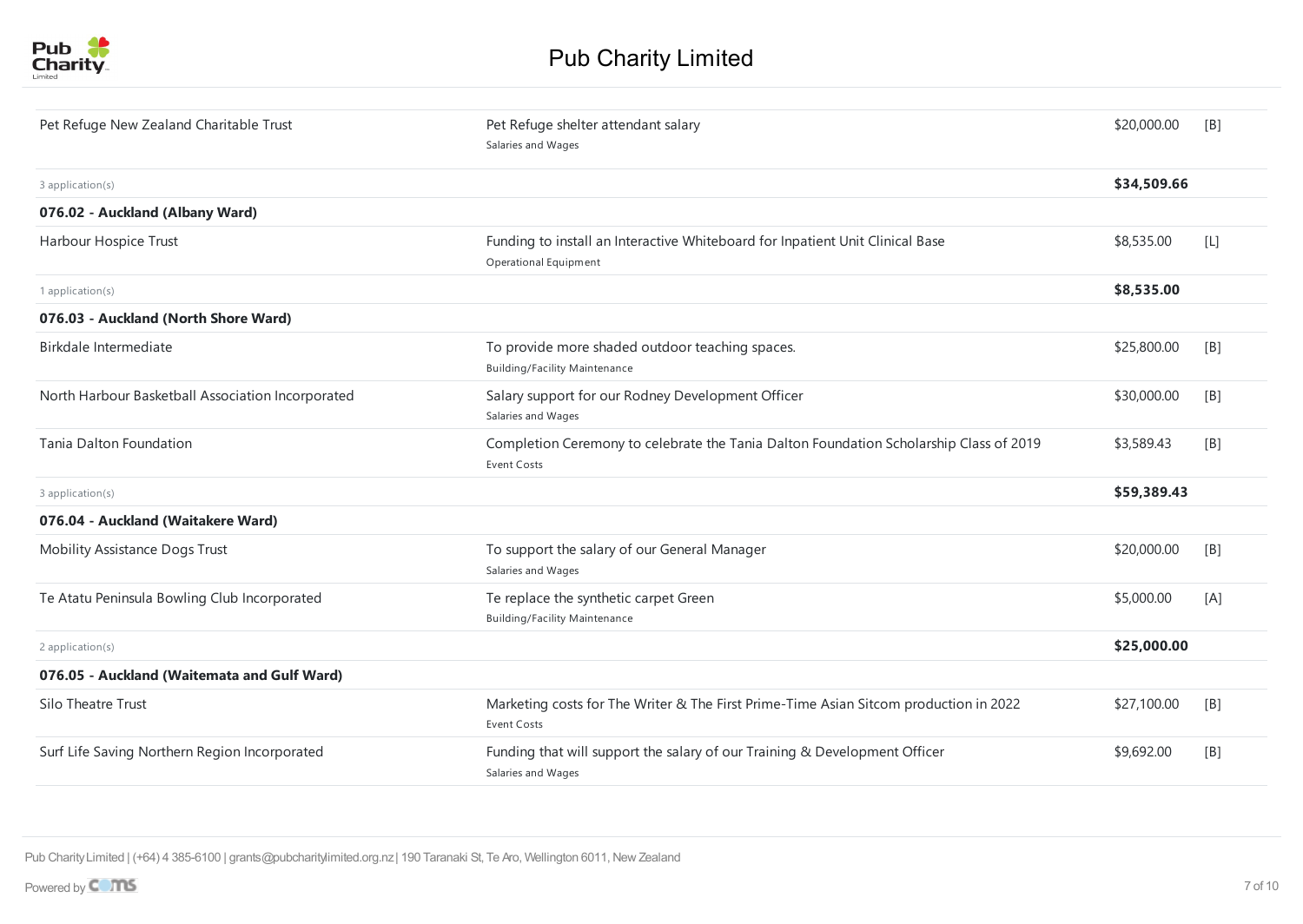

| Pet Refuge New Zealand Charitable Trust           | Pet Refuge shelter attendant salary<br>Salaries and Wages                                              | \$20,000.00 | [B]   |
|---------------------------------------------------|--------------------------------------------------------------------------------------------------------|-------------|-------|
| 3 application(s)                                  |                                                                                                        | \$34,509.66 |       |
| 076.02 - Auckland (Albany Ward)                   |                                                                                                        |             |       |
| Harbour Hospice Trust                             | Funding to install an Interactive Whiteboard for Inpatient Unit Clinical Base<br>Operational Equipment | \$8,535.00  | $[1]$ |
| 1 application(s)                                  |                                                                                                        | \$8,535.00  |       |
| 076.03 - Auckland (North Shore Ward)              |                                                                                                        |             |       |
| Birkdale Intermediate                             | To provide more shaded outdoor teaching spaces.<br><b>Building/Facility Maintenance</b>                | \$25,800.00 | [B]   |
| North Harbour Basketball Association Incorporated | Salary support for our Rodney Development Officer<br>Salaries and Wages                                | \$30,000.00 | [B]   |
| Tanja Dalton Foundation                           | Completion Ceremony to celebrate the Tania Dalton Foundation Scholarship Class of 2019<br>Event Costs  | \$3,589.43  | [B]   |
| 3 application(s)                                  |                                                                                                        | \$59,389.43 |       |
| 076.04 - Auckland (Waitakere Ward)                |                                                                                                        |             |       |
| <b>Mobility Assistance Dogs Trust</b>             | To support the salary of our General Manager<br>Salaries and Wages                                     | \$20,000.00 | [B]   |
| Te Atatu Peninsula Bowling Club Incorporated      | Te replace the synthetic carpet Green<br><b>Building/Facility Maintenance</b>                          | \$5,000.00  | [A]   |
| 2 application(s)                                  |                                                                                                        | \$25,000.00 |       |
| 076.05 - Auckland (Waitemata and Gulf Ward)       |                                                                                                        |             |       |
| Silo Theatre Trust                                | Marketing costs for The Writer & The First Prime-Time Asian Sitcom production in 2022<br>Event Costs   | \$27,100.00 | [B]   |
| Surf Life Saving Northern Region Incorporated     | Funding that will support the salary of our Training & Development Officer<br>Salaries and Wages       | \$9,692.00  | [B]   |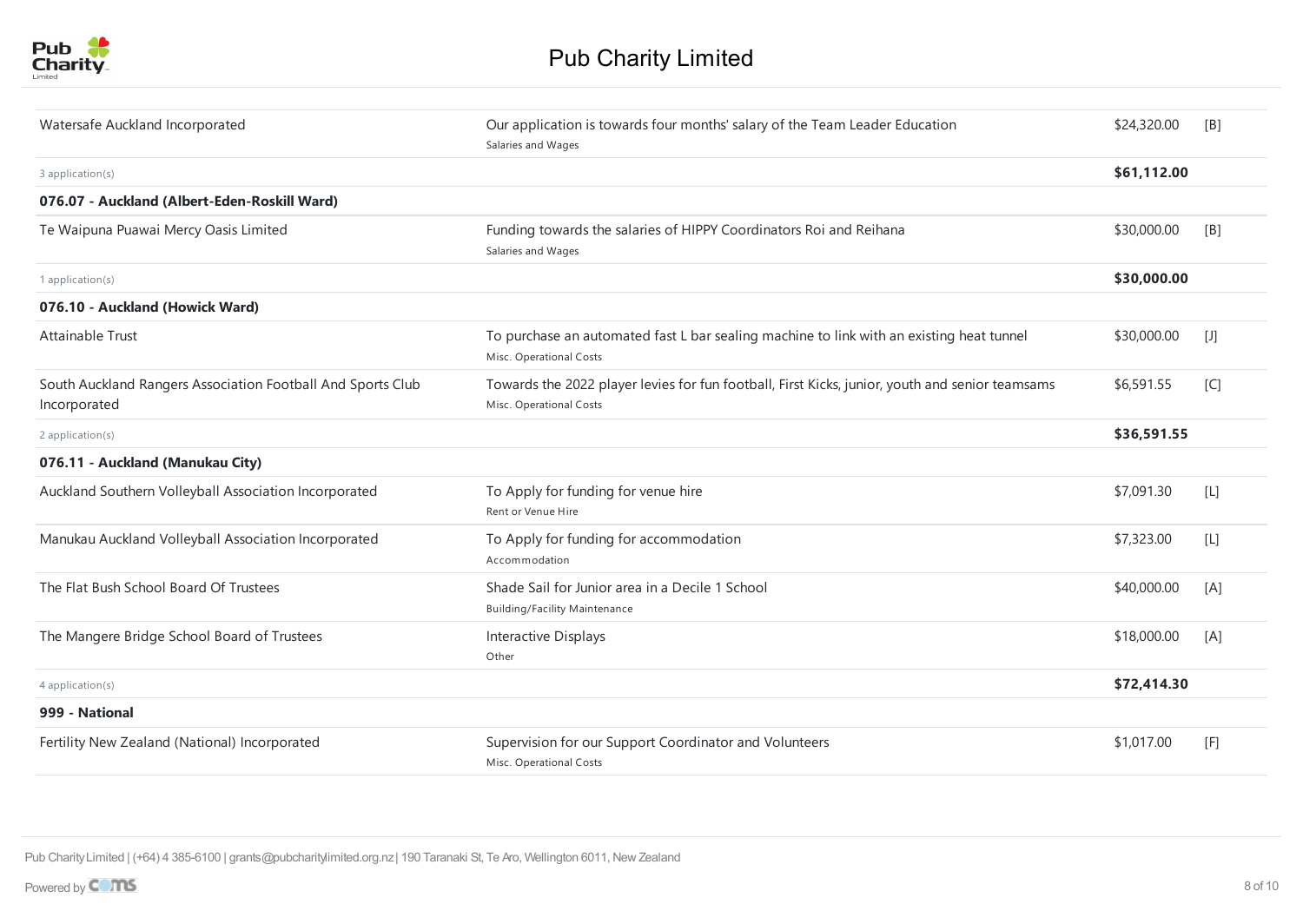| Watersafe Auckland Incorporated                                             | Our application is towards four months' salary of the Team Leader Education<br>Salaries and Wages                          | \$24,320.00 | [ <sub>B</sub> ] |
|-----------------------------------------------------------------------------|----------------------------------------------------------------------------------------------------------------------------|-------------|------------------|
| 3 application(s)                                                            |                                                                                                                            | \$61,112.00 |                  |
| 076.07 - Auckland (Albert-Eden-Roskill Ward)                                |                                                                                                                            |             |                  |
| Te Waipuna Puawai Mercy Oasis Limited                                       | Funding towards the salaries of HIPPY Coordinators Roi and Reihana<br>Salaries and Wages                                   | \$30,000.00 | [ <sub>B</sub> ] |
| 1 application(s)                                                            |                                                                                                                            | \$30,000.00 |                  |
| 076.10 - Auckland (Howick Ward)                                             |                                                                                                                            |             |                  |
| Attainable Trust                                                            | To purchase an automated fast L bar sealing machine to link with an existing heat tunnel<br>Misc. Operational Costs        | \$30,000.00 | $[1]$            |
| South Auckland Rangers Association Football And Sports Club<br>Incorporated | Towards the 2022 player levies for fun football, First Kicks, junior, youth and senior teamsams<br>Misc. Operational Costs | \$6,591.55  | [C]              |
| 2 application(s)                                                            |                                                                                                                            | \$36,591.55 |                  |
| 076.11 - Auckland (Manukau City)                                            |                                                                                                                            |             |                  |
| Auckland Southern Volleyball Association Incorporated                       | To Apply for funding for venue hire<br>Rent or Venue Hire                                                                  | \$7,091.30  | $[L]$            |
| Manukau Auckland Volleyball Association Incorporated                        | To Apply for funding for accommodation<br>Accommodation                                                                    | \$7,323.00  | $[L]$            |
| The Flat Bush School Board Of Trustees                                      | Shade Sail for Junior area in a Decile 1 School<br><b>Building/Facility Maintenance</b>                                    | \$40,000.00 | [A]              |
| The Mangere Bridge School Board of Trustees                                 | Interactive Displays<br>Other                                                                                              | \$18,000.00 | [A]              |
| 4 application(s)                                                            |                                                                                                                            | \$72,414.30 |                  |
| 999 - National                                                              |                                                                                                                            |             |                  |
| Fertility New Zealand (National) Incorporated                               | Supervision for our Support Coordinator and Volunteers<br>Misc. Operational Costs                                          | \$1,017.00  | [F]              |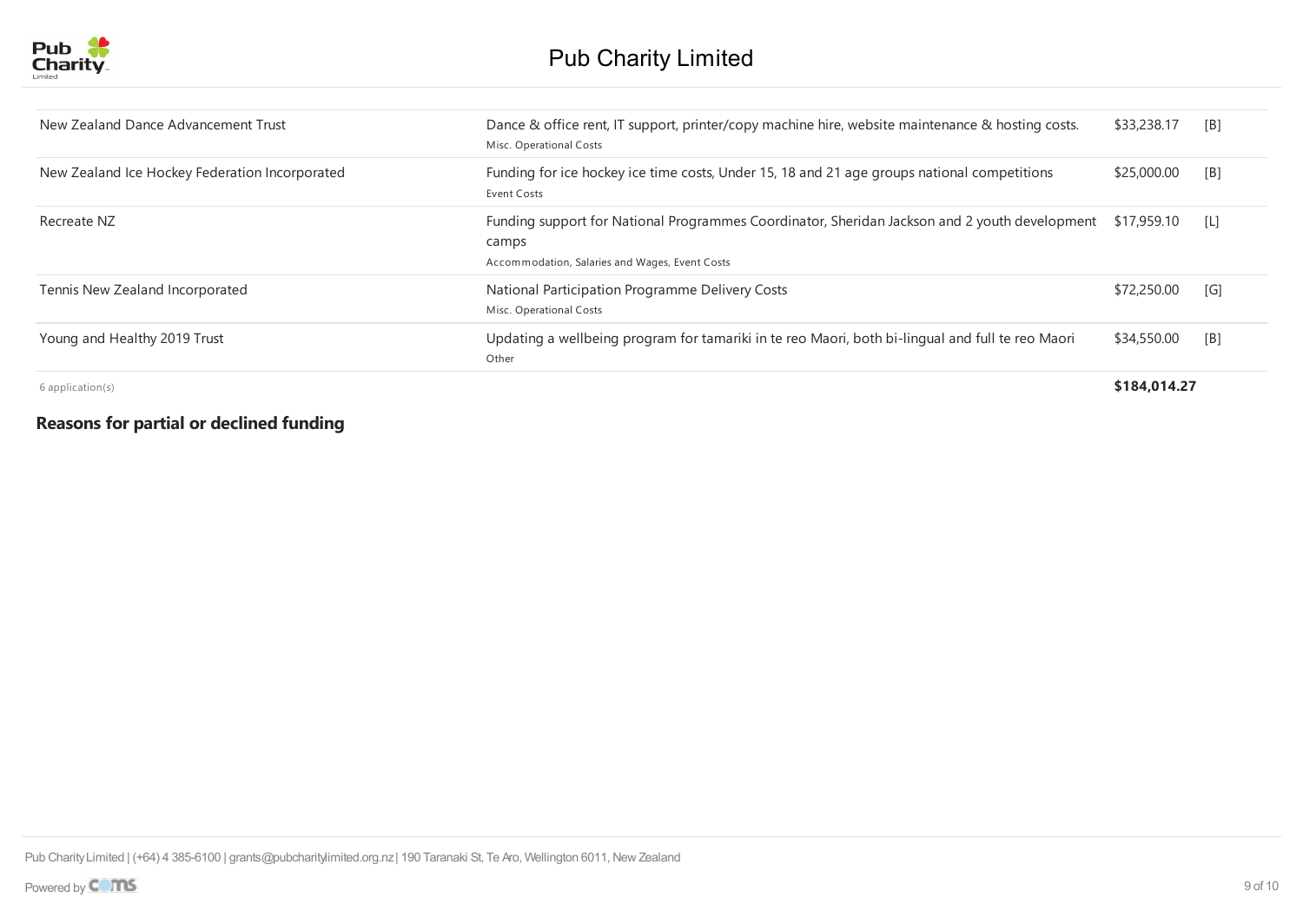

| New Zealand Dance Advancement Trust            | Dance & office rent, IT support, printer/copy machine hire, website maintenance & hosting costs.<br>Misc. Operational Costs                                          | \$33,238.17  | [B]               |
|------------------------------------------------|----------------------------------------------------------------------------------------------------------------------------------------------------------------------|--------------|-------------------|
| New Zealand Ice Hockey Federation Incorporated | Funding for ice hockey ice time costs, Under 15, 18 and 21 age groups national competitions<br>Event Costs                                                           | \$25,000.00  | [B]               |
| Recreate NZ                                    | Funding support for National Programmes Coordinator, Sheridan Jackson and 2 youth development \$17,959.10<br>camps<br>Accommodation, Salaries and Wages, Event Costs |              | - LI              |
| Tennis New Zealand Incorporated                | National Participation Programme Delivery Costs<br>Misc. Operational Costs                                                                                           | \$72,250.00  | $\lceil G \rceil$ |
| Young and Healthy 2019 Trust                   | Updating a wellbeing program for tamariki in te reo Maori, both bi-lingual and full te reo Maori<br>Other                                                            | \$34,550.00  | [B]               |
| $6$ application(s)                             |                                                                                                                                                                      | \$184.014.27 |                   |

## **Reasons for partial or declined funding**